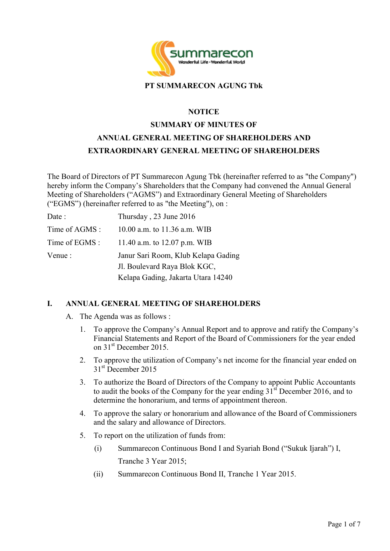

#### **PT SUMMARECON AGUNG Tbk**

#### **NOTICE**

# **SUMMARY OF MINUTES OF ANNUAL GENERAL MEETING OF SHAREHOLDERS AND EXTRAORDINARY GENERAL MEETING OF SHAREHOLDERS**

The Board of Directors of PT Summarecon Agung Tbk (hereinafter referred to as "the Company") hereby inform the Company's Shareholders that the Company had convened the Annual General Meeting of Shareholders ("AGMS") and Extraordinary General Meeting of Shareholders ("EGMS") (hereinafter referred to as "the Meeting"), on :

| Date :         | Thursday, 23 June 2016              |
|----------------|-------------------------------------|
| Time of AGMS : | 10.00 a.m. to 11.36 a.m. WIB        |
| Time of EGMS : | 11.40 a.m. to 12.07 p.m. WIB        |
| Venue :        | Janur Sari Room, Klub Kelapa Gading |
|                | J. Boulevard Raya Blok KGC,         |
|                | Kelapa Gading, Jakarta Utara 14240  |

## **I. ANNUAL GENERAL MEETING OF SHAREHOLDERS**

- A. The Agenda was as follows :
	- 1. To approve the Company's Annual Report and to approve and ratify the Company's Financial Statements and Report of the Board of Commissioners for the year ended on 31<sup>st</sup> December 2015.
	- 2. To approve the utilization of Company's net income for the financial year ended on 31<sup>st</sup> December 2015
	- 3. To authorize the Board of Directors of the Company to appoint Public Accountants to audit the books of the Company for the year ending  $31<sup>st</sup>$  December 2016, and to determine the honorarium, and terms of appointment thereon.
	- 4. To approve the salary or honorarium and allowance of the Board of Commissioners and the salary and allowance of Directors.
	- 5. To report on the utilization of funds from:
		- (i) Summarecon Continuous Bond I and Syariah Bond ("Sukuk Ijarah") I, Tranche 3 Year 2015;
		- (ii) Summarecon Continuous Bond II, Tranche 1 Year 2015.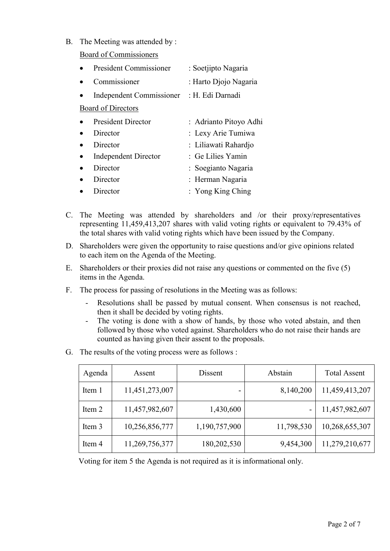B. The Meeting was attended by :

Board of Commissioners

| <b>President Commissioner</b>   | : Soetjipto Nagaria    |
|---------------------------------|------------------------|
| Commissioner                    | : Harto Djojo Nagaria  |
| <b>Independent Commissioner</b> | : H. Edi Darnadi       |
| <b>Board of Directors</b>       |                        |
| <b>President Director</b>       | : Adrianto Pitoyo Adhi |
| Director                        | : Lexy Arie Tumiwa     |
| Director                        | : Liliawati Rahardjo   |
| <b>Independent Director</b>     | : Ge Lilies Yamin      |
| Director                        | : Soegianto Nagaria    |
| Director                        | : Herman Nagaria       |
| Director                        | : Yong King Ching      |

- C. The Meeting was attended by shareholders and /or their proxy/representatives representing 11,459,413,207 shares with valid voting rights or equivalent to 79.43% of the total shares with valid voting rights which have been issued by the Company.
- D. Shareholders were given the opportunity to raise questions and/or give opinions related to each item on the Agenda of the Meeting.
- E. Shareholders or their proxies did not raise any questions or commented on the five (5) items in the Agenda.
- F. The process for passing of resolutions in the Meeting was as follows:
	- Resolutions shall be passed by mutual consent. When consensus is not reached, then it shall be decided by voting rights.
	- The voting is done with a show of hands, by those who voted abstain, and then followed by those who voted against. Shareholders who do not raise their hands are counted as having given their assent to the proposals.
- G. The results of the voting process were as follows :

| Agenda | Assent         | Dissent       | Abstain    | <b>Total Assent</b> |
|--------|----------------|---------------|------------|---------------------|
| Item 1 | 11,451,273,007 |               | 8,140,200  | 11,459,413,207      |
| Item 2 | 11,457,982,607 | 1,430,600     |            | 11,457,982,607      |
| Item 3 | 10,256,856,777 | 1,190,757,900 | 11,798,530 | 10,268,655,307      |
| Item 4 | 11,269,756,377 | 180,202,530   | 9,454,300  | 11,279,210,677      |

Voting for item 5 the Agenda is not required as it is informational only.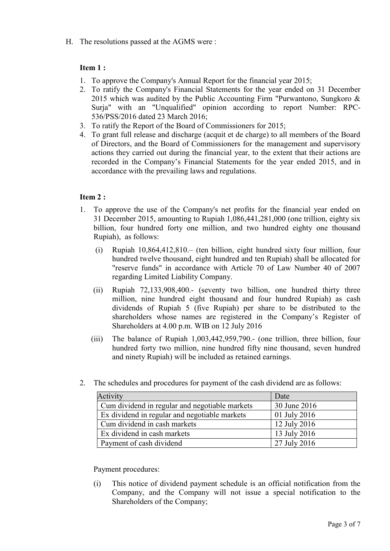H. The resolutions passed at the AGMS were :

# **Item 1 :**

- 1. To approve the Company's Annual Report for the financial year 2015;
- 2. To ratify the Company's Financial Statements for the year ended on 31 December 2015 which was audited by the Public Accounting Firm "Purwantono, Sungkoro & Surja" with an "Unqualified" opinion according to report Number: RPC-536/PSS/2016 dated 23 March 2016;
- 3. To ratify the Report of the Board of Commissioners for 2015;
- 4. To grant full release and discharge (acquit et de charge) to all members of the Board of Directors, and the Board of Commissioners for the management and supervisory actions they carried out during the financial year, to the extent that their actions are recorded in the Company's Financial Statements for the year ended 2015, and in accordance with the prevailing laws and regulations.

## **Item 2 :**

- 1. To approve the use of the Company's net profits for the financial year ended on 31 December 2015, amounting to Rupiah 1,086,441,281,000 (one trillion, eighty six billion, four hundred forty one million, and two hundred eighty one thousand Rupiah), as follows:
	- (i) Rupiah 10,864,412,810.– (ten billion, eight hundred sixty four million, four hundred twelve thousand, eight hundred and ten Rupiah) shall be allocated for "reserve funds" in accordance with Article 70 of Law Number 40 of 2007 regarding Limited Liability Company.
	- (ii) Rupiah 72,133,908,400.- (seventy two billion, one hundred thirty three million, nine hundred eight thousand and four hundred Rupiah) as cash dividends of Rupiah 5 (five Rupiah) per share to be distributed to the shareholders whose names are registered in the Company's Register of Shareholders at 4.00 p.m. WIB on 12 July 2016
	- (iii) The balance of Rupiah 1,003,442,959,790.- (one trillion, three billion, four hundred forty two million, nine hundred fifty nine thousand, seven hundred and ninety Rupiah) will be included as retained earnings.
- 2. The schedules and procedures for payment of the cash dividend are as follows:

| Activity                                       | Date         |
|------------------------------------------------|--------------|
| Cum dividend in regular and negotiable markets | 30 June 2016 |
| Ex dividend in regular and negotiable markets  | 01 July 2016 |
| Cum dividend in cash markets                   | 12 July 2016 |
| Ex dividend in cash markets                    | 13 July 2016 |
| Payment of cash dividend                       | 27 July 2016 |

Payment procedures:

(i) This notice of dividend payment schedule is an official notification from the Company, and the Company will not issue a special notification to the Shareholders of the Company;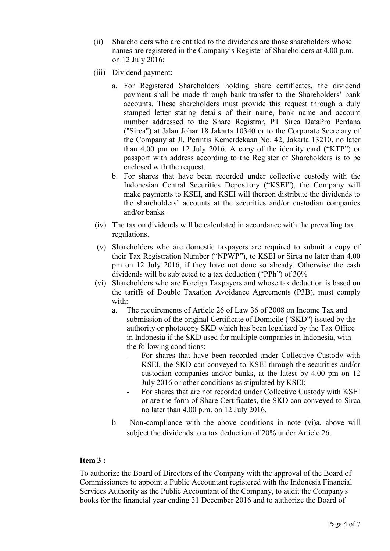- (ii) Shareholders who are entitled to the dividends are those shareholders whose names are registered in the Company's Register of Shareholders at 4.00 p.m. on 12 July 2016;
- (iii) Dividend payment:
	- a. For Registered Shareholders holding share certificates, the dividend payment shall be made through bank transfer to the Shareholders' bank accounts. These shareholders must provide this request through a duly stamped letter stating details of their name, bank name and account number addressed to the Share Registrar, PT Sirca DataPro Perdana ("Sirca") at Jalan Johar 18 Jakarta 10340 or to the Corporate Secretary of the Company at Jl. Perintis Kemerdekaan No. 42, Jakarta 13210, no later than 4.00 pm on 12 July 2016. A copy of the identity card ("KTP") or passport with address according to the Register of Shareholders is to be enclosed with the request.
	- b. For shares that have been recorded under collective custody with the Indonesian Central Securities Depository ("KSEI"), the Company will make payments to KSEI, and KSEI will thereon distribute the dividends to the shareholders' accounts at the securities and/or custodian companies and/or banks.
- (iv) The tax on dividends will be calculated in accordance with the prevailing tax regulations.
- (v) Shareholders who are domestic taxpayers are required to submit a copy of their Tax Registration Number ("NPWP"), to KSEI or Sirca no later than 4.00 pm on 12 July 2016, if they have not done so already. Otherwise the cash dividends will be subjected to a tax deduction ("PPh") of 30%
- (vi) Shareholders who are Foreign Taxpayers and whose tax deduction is based on the tariffs of Double Taxation Avoidance Agreements (P3B), must comply with:
	- a. The requirements of Article 26 of Law 36 of 2008 on Income Tax and submission of the original Certificate of Domicile ("SKD") issued by the authority or photocopy SKD which has been legalized by the Tax Office in Indonesia if the SKD used for multiple companies in Indonesia, with the following conditions:
		- For shares that have been recorded under Collective Custody with KSEI, the SKD can conveyed to KSEI through the securities and/or custodian companies and/or banks, at the latest by 4.00 pm on 12 July 2016 or other conditions as stipulated by KSEI;
		- For shares that are not recorded under Collective Custody with KSEI or are the form of Share Certificates, the SKD can conveyed to Sirca no later than 4.00 p.m. on 12 July 2016.
	- b. Non-compliance with the above conditions in note (vi)a. above will subject the dividends to a tax deduction of 20% under Article 26.

## **Item 3 :**

To authorize the Board of Directors of the Company with the approval of the Board of Commissioners to appoint a Public Accountant registered with the Indonesia Financial Services Authority as the Public Accountant of the Company, to audit the Company's books for the financial year ending 31 December 2016 and to authorize the Board of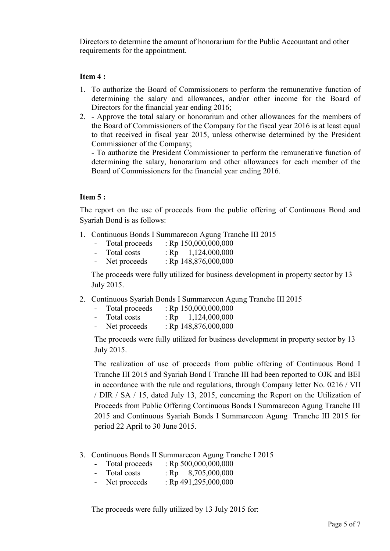Directors to determine the amount of honorarium for the Public Accountant and other requirements for the appointment.

#### **Item 4 :**

- 1. To authorize the Board of Commissioners to perform the remunerative function of determining the salary and allowances, and/or other income for the Board of Directors for the financial year ending 2016;
- 2. Approve the total salary or honorarium and other allowances for the members of the Board of Commissioners of the Company for the fiscal year 2016 is at least equal to that received in fiscal year 2015, unless otherwise determined by the President Commissioner of the Company;

- To authorize the President Commissioner to perform the remunerative function of determining the salary, honorarium and other allowances for each member of the Board of Commissioners for the financial year ending 2016.

#### **Item 5 :**

The report on the use of proceeds from the public offering of Continuous Bond and Syariah Bond is as follows:

- 1. Continuous Bonds I Summarecon Agung Tranche III 2015
	- Total proceeds : Rp 150,000,000,000
	- Total costs :  $Rp = 1,124,000,000$
	- Net proceeds : Rp 148,876,000,000

The proceeds were fully utilized for business development in property sector by 13 July 2015.

2. Continuous Syariah Bonds I Summarecon Agung Tranche III 2015

| Total proceeds | : Rp $150,000,000,000$ |
|----------------|------------------------|
|                |                        |

- Total costs :  $Rp = 1,124,000,000$ - Net proceeds : Rp 148,876,000,000

The proceeds were fully utilized for business development in property sector by 13 July 2015.

The realization of use of proceeds from public offering of Continuous Bond I Tranche III 2015 and Syariah Bond I Tranche III had been reported to OJK and BEI in accordance with the rule and regulations, through Company letter No. 0216 / VII / DIR / SA / 15, dated July 13, 2015, concerning the Report on the Utilization of Proceeds from Public Offering Continuous Bonds I Summarecon Agung Tranche III 2015 and Continuous Syariah Bonds I Summarecon Agung Tranche III 2015 for period 22 April to 30 June 2015.

- 3. Continuous Bonds II Summarecon Agung Tranche I 2015
	- Total proceeds :  $Rp 500,000,000,000$
	- Total costs :  $\text{Rp} = 8,705,000,000$
	- Net proceeds :  $Rp 491,295,000,000$

The proceeds were fully utilized by 13 July 2015 for: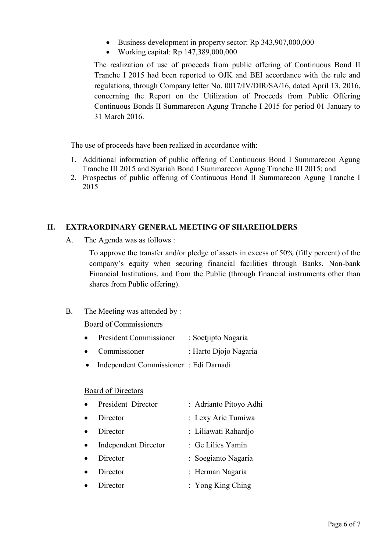- Business development in property sector: Rp 343,907,000,000
- Working capital:  $Rp$  147,389,000,000

The realization of use of proceeds from public offering of Continuous Bond II Tranche I 2015 had been reported to OJK and BEI accordance with the rule and regulations, through Company letter No. 0017/IV/DIR/SA/16, dated April 13, 2016, concerning the Report on the Utilization of Proceeds from Public Offering Continuous Bonds II Summarecon Agung Tranche I 2015 for period 01 January to 31 March 2016.

The use of proceeds have been realized in accordance with:

- 1. Additional information of public offering of Continuous Bond I Summarecon Agung Tranche III 2015 and Syariah Bond I Summarecon Agung Tranche III 2015; and
- 2. Prospectus of public offering of Continuous Bond II Summarecon Agung Tranche I 2015

## **II. EXTRAORDINARY GENERAL MEETING OF SHAREHOLDERS**

A. The Agenda was as follows :

To approve the transfer and/or pledge of assets in excess of 50% (fifty percent) of the company's equity when securing financial facilities through Banks, Non-bank Financial Institutions, and from the Public (through financial instruments other than shares from Public offering).

## B. The Meeting was attended by :

## Board of Commissioners

- President Commissioner : Soetjipto Nagaria
- Commissioner : Harto Djojo Nagaria
- Independent Commissioner : Edi Darnadi

#### Board of Directors

| $\bullet$ | President Director          | : Adrianto Pitoyo Adhi |
|-----------|-----------------------------|------------------------|
|           | Director                    | : Lexy Arie Tumiwa     |
|           | Director                    | : Liliawati Rahardjo   |
| $\bullet$ | <b>Independent Director</b> | : Ge Lilies Yamin      |
| $\bullet$ | Director                    | : Soegianto Nagaria    |
| $\bullet$ | Director                    | : Herman Nagaria       |
|           | Director                    | : Yong King Ching      |